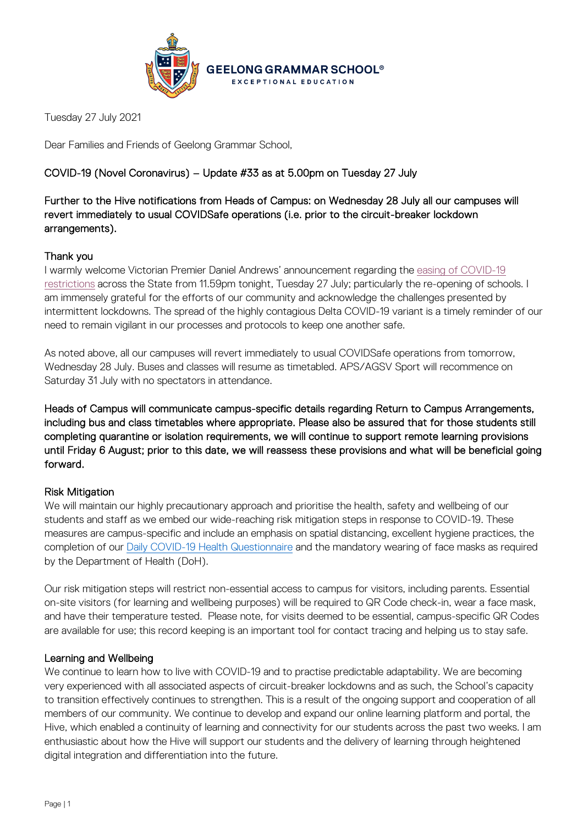

Tuesday 27 July 2021

Dear Families and Friends of Geelong Grammar School,

# COVID-19 (Novel Coronavirus) – Update #33 as at 5.00pm on Tuesday 27 July

Further to the Hive notifications from Heads of Campus: on Wednesday 28 July all our campuses will revert immediately to usual COVIDSafe operations (i.e. prior to the circuit-breaker lockdown arrangements).

# Thank you

I warmly welcome Victorian Premier Daniel Andrews' announcement regarding the [easing of COVID-19](https://www.premier.vic.gov.au/sites/default/files/2021-07/210727%20-%20Table%20of%20Restrictions_0.pdf)  [restrictions](https://www.premier.vic.gov.au/sites/default/files/2021-07/210727%20-%20Table%20of%20Restrictions_0.pdf) across the State from 11.59pm tonight, Tuesday 27 July; particularly the re-opening of schools. I am immensely grateful for the efforts of our community and acknowledge the challenges presented by intermittent lockdowns. The spread of the highly contagious Delta COVID-19 variant is a timely reminder of our need to remain vigilant in our processes and protocols to keep one another safe.

As noted above, all our campuses will revert immediately to usual COVIDSafe operations from tomorrow, Wednesday 28 July. Buses and classes will resume as timetabled. APS/AGSV Sport will recommence on Saturday 31 July with no spectators in attendance.

Heads of Campus will communicate campus-specific details regarding Return to Campus Arrangements, including bus and class timetables where appropriate. Please also be assured that for those students still completing quarantine or isolation requirements, we will continue to support remote learning provisions until Friday 6 August; prior to this date, we will reassess these provisions and what will be beneficial going forward.

# Risk Mitigation

We will maintain our highly precautionary approach and prioritise the health, safety and wellbeing of our students and staff as we embed our wide-reaching risk mitigation steps in response to COVID-19. These measures are campus-specific and include an emphasis on spatial distancing, excellent hygiene practices, the completion of our [Daily COVID-19 Health Questionnaire](https://forms.office.com/Pages/ResponsePage.aspx?id=ELu_KfmYBkWxD1P2rSx8Ev-kTHtY0BRDgodmf5vZO-ZUMlA3SjBJOTlGTENIQk5aVjlRMFdIMTZCQS4u&wdLOR=c6ADEBC50-953A-40B2-8789-919A85C6009F) and the mandatory wearing of face masks as required by the Department of Health (DoH).

Our risk mitigation steps will restrict non-essential access to campus for visitors, including parents. Essential on-site visitors (for learning and wellbeing purposes) will be required to QR Code check-in, wear a face mask, and have their temperature tested. Please note, for visits deemed to be essential, campus-specific QR Codes are available for use; this record keeping is an important tool for contact tracing and helping us to stay safe.

# Learning and Wellbeing

We continue to learn how to live with COVID-19 and to practise predictable adaptability. We are becoming very experienced with all associated aspects of circuit-breaker lockdowns and as such, the School's capacity to transition effectively continues to strengthen. This is a result of the ongoing support and cooperation of all members of our community. We continue to develop and expand our online learning platform and portal, the Hive, which enabled a continuity of learning and connectivity for our students across the past two weeks. I am enthusiastic about how the Hive will support our students and the delivery of learning through heightened digital integration and differentiation into the future.